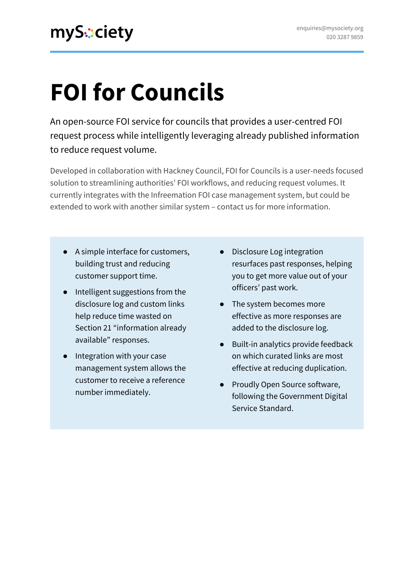# **FOI for Councils**

An open-source FOI service for councils that provides a user-centred FOI request process while intelligently leveraging already published information to reduce request volume.

Developed in collaboration with Hackney Council, FOI for Councils is a user-needs focused solution to streamlining authorities' FOI workflows, and reducing request volumes. It currently integrates with the Infreemation FOI case management system, but could be extended to work with another similar system – contact us for more information.

- A simple interface for customers, building trust and reducing customer support time.
- Intelligent suggestions from the disclosure log and custom links help reduce time wasted on Section 21 "information already available" responses.
- Integration with your case management system allows the customer to receive a reference number immediately.
- Disclosure Log integration resurfaces past responses, helping you to get more value out of your officers' past work.
- The system becomes more effective as more responses are added to the disclosure log.
- Built-in analytics provide feedback on which curated links are most effective at reducing duplication.
- Proudly Open Source software, following the Government Digital Service Standard.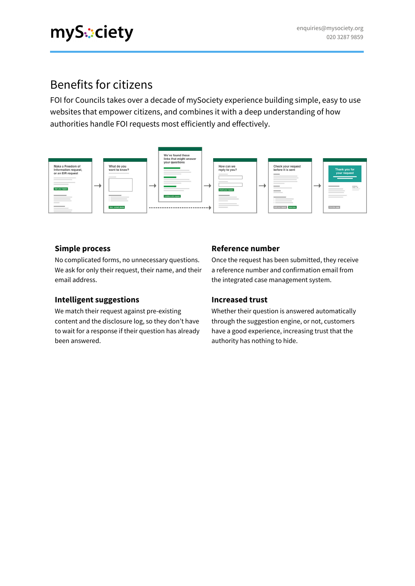### Benefits for citizens

FOI for Councils takes over a decade of mySociety experience building simple, easy to use websites that empower citizens, and combines it with a deep understanding of how authorities handle FOI requests most efficiently and effectively.



#### **Simple process**

No complicated forms, no unnecessary questions. We ask for only their request, their name, and their email address.

#### **Intelligent suggestions**

We match their request against pre-existing content and the disclosure log, so they don't have to wait for a response if their question has already been answered.

#### **Reference number**

Once the request has been submitted, they receive a reference number and confirmation email from the integrated case management system.

#### **Increased trust**

Whether their question is answered automatically through the suggestion engine, or not, customers have a good experience, increasing trust that the authority has nothing to hide.